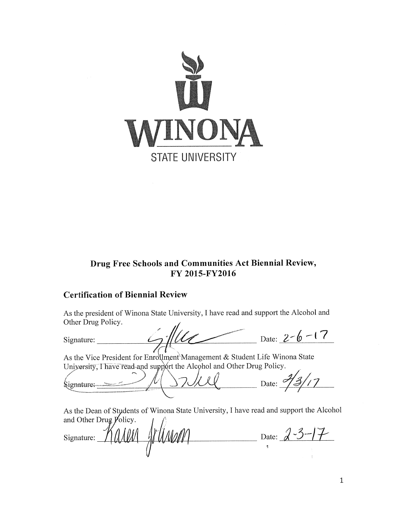

# Drug Free Schools and Communities Act Biennial Review, FY 2015-FY2016

# **Certification of Biennial Review**

As the president of Winona State University, I have read and support the Alcohol and Other Drug Policy.

Signature:

Date:  $2-6-17$ 

As the Vice President for Enrollment Management & Student Life Winona State University, Thave read-and support the Alcohol and Other Drug Policy.

 $\frac{1}{2}$  Date:  $\frac{73}{3}$ Signature:-

As the Dean of Students of Winona State University, I have read and support the Alcohol and Other Drug  $\cancel{P}$ olicy.

Wann Date:  $2-3-17$ arm Signature: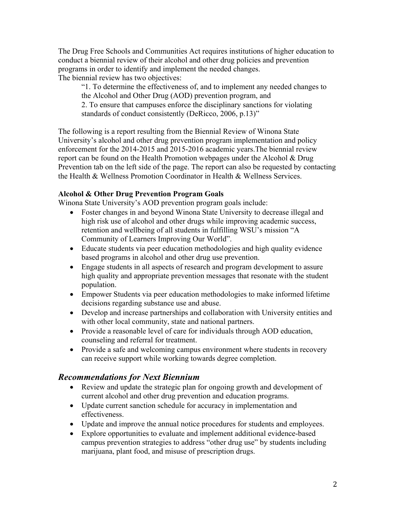The Drug Free Schools and Communities Act requires institutions of higher education to conduct a biennial review of their alcohol and other drug policies and prevention programs in order to identify and implement the needed changes. The biennial review has two objectives:

"1. To determine the effectiveness of, and to implement any needed changes to the Alcohol and Other Drug (AOD) prevention program, and 2. To ensure that campuses enforce the disciplinary sanctions for violating standards of conduct consistently (DeRicco, 2006, p.13)"

The following is a report resulting from the Biennial Review of Winona State University's alcohol and other drug prevention program implementation and policy enforcement for the 2014-2015 and 2015-2016 academic years.The biennial review report can be found on the Health Promotion webpages under the Alcohol & Drug Prevention tab on the left side of the page. The report can also be requested by contacting the Health & Wellness Promotion Coordinator in Health & Wellness Services.

## **Alcohol & Other Drug Prevention Program Goals**

Winona State University's AOD prevention program goals include:

- Foster changes in and beyond Winona State University to decrease illegal and high risk use of alcohol and other drugs while improving academic success, retention and wellbeing of all students in fulfilling WSU's mission "A Community of Learners Improving Our World".
- Educate students via peer education methodologies and high quality evidence based programs in alcohol and other drug use prevention.
- Engage students in all aspects of research and program development to assure high quality and appropriate prevention messages that resonate with the student population.
- Empower Students via peer education methodologies to make informed lifetime decisions regarding substance use and abuse.
- Develop and increase partnerships and collaboration with University entities and with other local community, state and national partners.
- Provide a reasonable level of care for individuals through AOD education, counseling and referral for treatment.
- Provide a safe and welcoming campus environment where students in recovery can receive support while working towards degree completion.

## *Recommendations for Next Biennium*

- Review and update the strategic plan for ongoing growth and development of current alcohol and other drug prevention and education programs.
- Update current sanction schedule for accuracy in implementation and effectiveness.
- Update and improve the annual notice procedures for students and employees.
- Explore opportunities to evaluate and implement additional evidence-based campus prevention strategies to address "other drug use" by students including marijuana, plant food, and misuse of prescription drugs.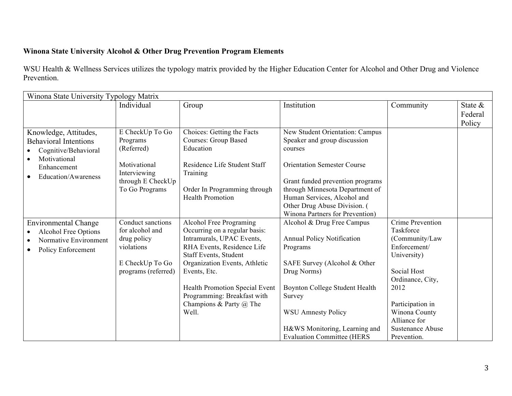# **Winona State University Alcohol & Other Drug Prevention Program Elements**

WSU Health & Wellness Services utilizes the typology matrix provided by the Higher Education Center for Alcohol and Other Drug and Violence Prevention.

| Winona State University Typology Matrix                                                                                                          |                                                                                                                  |                                                                                                                                                                                                                                                                                                           |                                                                                                                                                                                                                                                                                           |                                                                                                                                                                                                                                 |                                 |
|--------------------------------------------------------------------------------------------------------------------------------------------------|------------------------------------------------------------------------------------------------------------------|-----------------------------------------------------------------------------------------------------------------------------------------------------------------------------------------------------------------------------------------------------------------------------------------------------------|-------------------------------------------------------------------------------------------------------------------------------------------------------------------------------------------------------------------------------------------------------------------------------------------|---------------------------------------------------------------------------------------------------------------------------------------------------------------------------------------------------------------------------------|---------------------------------|
|                                                                                                                                                  | Individual                                                                                                       | Group                                                                                                                                                                                                                                                                                                     | Institution                                                                                                                                                                                                                                                                               | Community                                                                                                                                                                                                                       | State $\&$<br>Federal<br>Policy |
| Knowledge, Attitudes,<br><b>Behavioral Intentions</b><br>Cognitive/Behavioral<br>Motivational<br>Enhancement<br>Education/Awareness<br>$\bullet$ | E CheckUp To Go<br>Programs<br>(Referred)<br>Motivational<br>Interviewing<br>through E CheckUp<br>To Go Programs | Choices: Getting the Facts<br><b>Courses: Group Based</b><br>Education<br>Residence Life Student Staff<br>Training<br>Order In Programming through<br><b>Health Promotion</b>                                                                                                                             | New Student Orientation: Campus<br>Speaker and group discussion<br>courses<br><b>Orientation Semester Course</b><br>Grant funded prevention programs<br>through Minnesota Department of<br>Human Services, Alcohol and<br>Other Drug Abuse Division. (<br>Winona Partners for Prevention) |                                                                                                                                                                                                                                 |                                 |
| <b>Environmental Change</b><br><b>Alcohol Free Options</b><br>Normative Environment<br>Policy Enforcement<br>$\bullet$                           | Conduct sanctions<br>for alcohol and<br>drug policy<br>violations<br>E CheckUp To Go<br>programs (referred)      | Alcohol Free Programing<br>Occurring on a regular basis:<br>Intramurals, UPAC Events,<br>RHA Events, Residence Life<br>Staff Events, Student<br>Organization Events, Athletic<br>Events, Etc.<br>Health Promotion Special Event<br>Programming: Breakfast with<br>Champions & Party $\omega$ The<br>Well. | Alcohol & Drug Free Campus<br><b>Annual Policy Notification</b><br>Programs<br>SAFE Survey (Alcohol & Other<br>Drug Norms)<br>Boynton College Student Health<br>Survey<br><b>WSU Amnesty Policy</b><br>H&WS Monitoring, Learning and<br><b>Evaluation Committee (HERS</b>                 | <b>Crime Prevention</b><br>Taskforce<br>(Community/Law<br>Enforcement/<br>University)<br>Social Host<br>Ordinance, City,<br>2012<br>Participation in<br>Winona County<br>Alliance for<br><b>Sustenance Abuse</b><br>Prevention. |                                 |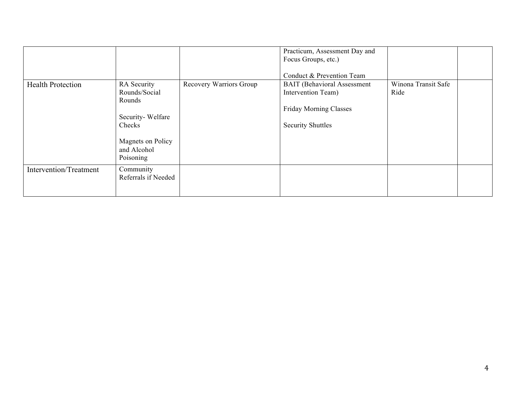|                          |                                                                                                                       |                         | Practicum, Assessment Day and<br>Focus Groups, etc.)<br>Conduct & Prevention Team                                     |                             |  |
|--------------------------|-----------------------------------------------------------------------------------------------------------------------|-------------------------|-----------------------------------------------------------------------------------------------------------------------|-----------------------------|--|
| <b>Health Protection</b> | RA Security<br>Rounds/Social<br>Rounds<br>Security-Welfare<br>Checks<br>Magnets on Policy<br>and Alcohol<br>Poisoning | Recovery Warriors Group | <b>BAIT</b> (Behavioral Assessment<br>Intervention Team)<br><b>Friday Morning Classes</b><br><b>Security Shuttles</b> | Winona Transit Safe<br>Ride |  |
| Intervention/Treatment   | Community<br>Referrals if Needed                                                                                      |                         |                                                                                                                       |                             |  |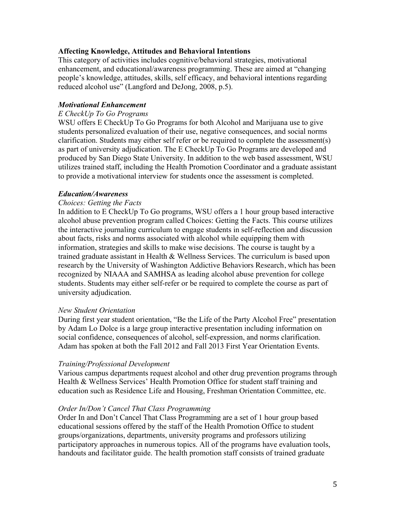## **Affecting Knowledge, Attitudes and Behavioral Intentions**

This category of activities includes cognitive/behavioral strategies, motivational enhancement, and educational/awareness programming. These are aimed at "changing people's knowledge, attitudes, skills, self efficacy, and behavioral intentions regarding reduced alcohol use" (Langford and DeJong, 2008, p.5).

### *Motivational Enhancement*

#### *E CheckUp To Go Programs*

WSU offers E CheckUp To Go Programs for both Alcohol and Marijuana use to give students personalized evaluation of their use, negative consequences, and social norms clarification. Students may either self refer or be required to complete the assessment(s) as part of university adjudication. The E CheckUp To Go Programs are developed and produced by San Diego State University. In addition to the web based assessment, WSU utilizes trained staff, including the Health Promotion Coordinator and a graduate assistant to provide a motivational interview for students once the assessment is completed.

## *Education/Awareness*

## *Choices: Getting the Facts*

In addition to E CheckUp To Go programs, WSU offers a 1 hour group based interactive alcohol abuse prevention program called Choices: Getting the Facts. This course utilizes the interactive journaling curriculum to engage students in self-reflection and discussion about facts, risks and norms associated with alcohol while equipping them with information, strategies and skills to make wise decisions. The course is taught by a trained graduate assistant in Health & Wellness Services. The curriculum is based upon research by the University of Washington Addictive Behaviors Research, which has been recognized by NIAAA and SAMHSA as leading alcohol abuse prevention for college students. Students may either self-refer or be required to complete the course as part of university adjudication.

#### *New Student Orientation*

During first year student orientation, "Be the Life of the Party Alcohol Free" presentation by Adam Lo Dolce is a large group interactive presentation including information on social confidence, consequences of alcohol, self-expression, and norms clarification. Adam has spoken at both the Fall 2012 and Fall 2013 First Year Orientation Events.

#### *Training/Professional Development*

Various campus departments request alcohol and other drug prevention programs through Health & Wellness Services' Health Promotion Office for student staff training and education such as Residence Life and Housing, Freshman Orientation Committee, etc.

#### *Order In/Don't Cancel That Class Programming*

Order In and Don't Cancel That Class Programming are a set of 1 hour group based educational sessions offered by the staff of the Health Promotion Office to student groups/organizations, departments, university programs and professors utilizing participatory approaches in numerous topics. All of the programs have evaluation tools, handouts and facilitator guide. The health promotion staff consists of trained graduate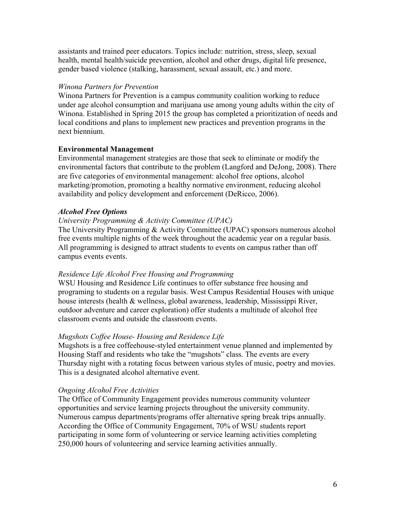assistants and trained peer educators. Topics include: nutrition, stress, sleep, sexual health, mental health/suicide prevention, alcohol and other drugs, digital life presence, gender based violence (stalking, harassment, sexual assault, etc.) and more.

## *Winona Partners for Prevention*

Winona Partners for Prevention is a campus community coalition working to reduce under age alcohol consumption and marijuana use among young adults within the city of Winona. Established in Spring 2015 the group has completed a prioritization of needs and local conditions and plans to implement new practices and prevention programs in the next biennium.

## **Environmental Management**

Environmental management strategies are those that seek to eliminate or modify the environmental factors that contribute to the problem (Langford and DeJong, 2008). There are five categories of environmental management: alcohol free options, alcohol marketing/promotion, promoting a healthy normative environment, reducing alcohol availability and policy development and enforcement (DeRicco, 2006).

## *Alcohol Free Options*

#### *University Programming & Activity Committee (UPAC)*

The University Programming & Activity Committee (UPAC) sponsors numerous alcohol free events multiple nights of the week throughout the academic year on a regular basis. All programming is designed to attract students to events on campus rather than off campus events events.

#### *Residence Life Alcohol Free Housing and Programming*

WSU Housing and Residence Life continues to offer substance free housing and programing to students on a regular basis. West Campus Residential Houses with unique house interests (health & wellness, global awareness, leadership, Mississippi River, outdoor adventure and career exploration) offer students a multitude of alcohol free classroom events and outside the classroom events.

#### *Mugshots Coffee House- Housing and Residence Life*

Mugshots is a free coffeehouse-styled entertainment venue planned and implemented by Housing Staff and residents who take the "mugshots" class. The events are every Thursday night with a rotating focus between various styles of music, poetry and movies. This is a designated alcohol alternative event.

#### *Ongoing Alcohol Free Activities*

The Office of Community Engagement provides numerous community volunteer opportunities and service learning projects throughout the university community. Numerous campus departments/programs offer alternative spring break trips annually. According the Office of Community Engagement, 70% of WSU students report participating in some form of volunteering or service learning activities completing 250,000 hours of volunteering and service learning activities annually.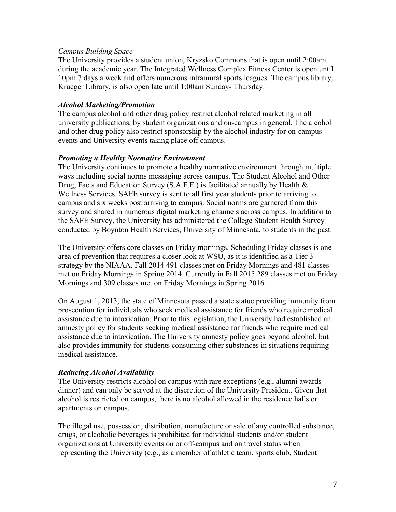## *Campus Building Space*

The University provides a student union, Kryzsko Commons that is open until 2:00am during the academic year. The Integrated Wellness Complex Fitness Center is open until 10pm 7 days a week and offers numerous intramural sports leagues. The campus library, Krueger Library, is also open late until 1:00am Sunday- Thursday.

### *Alcohol Marketing/Promotion*

The campus alcohol and other drug policy restrict alcohol related marketing in all university publications, by student organizations and on-campus in general. The alcohol and other drug policy also restrict sponsorship by the alcohol industry for on-campus events and University events taking place off campus.

#### *Promoting a Healthy Normative Environment*

The University continues to promote a healthy normative environment through multiple ways including social norms messaging across campus. The Student Alcohol and Other Drug, Facts and Education Survey (S.A.F.E.) is facilitated annually by Health & Wellness Services. SAFE survey is sent to all first year students prior to arriving to campus and six weeks post arriving to campus. Social norms are garnered from this survey and shared in numerous digital marketing channels across campus. In addition to the SAFE Survey, the University has administered the College Student Health Survey conducted by Boynton Health Services, University of Minnesota, to students in the past.

The University offers core classes on Friday mornings. Scheduling Friday classes is one area of prevention that requires a closer look at WSU, as it is identified as a Tier 3 strategy by the NIAAA. Fall 2014 491 classes met on Friday Mornings and 481 classes met on Friday Mornings in Spring 2014. Currently in Fall 2015 289 classes met on Friday Mornings and 309 classes met on Friday Mornings in Spring 2016.

On August 1, 2013, the state of Minnesota passed a state statue providing immunity from prosecution for individuals who seek medical assistance for friends who require medical assistance due to intoxication. Prior to this legislation, the University had established an amnesty policy for students seeking medical assistance for friends who require medical assistance due to intoxication. The University amnesty policy goes beyond alcohol, but also provides immunity for students consuming other substances in situations requiring medical assistance.

## *Reducing Alcohol Availability*

The University restricts alcohol on campus with rare exceptions (e.g., alumni awards dinner) and can only be served at the discretion of the University President. Given that alcohol is restricted on campus, there is no alcohol allowed in the residence halls or apartments on campus.

The illegal use, possession, distribution, manufacture or sale of any controlled substance, drugs, or alcoholic beverages is prohibited for individual students and/or student organizations at University events on or off-campus and on travel status when representing the University (e.g., as a member of athletic team, sports club, Student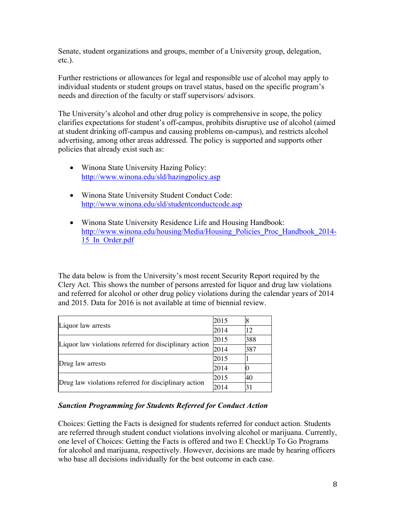Senate, student organizations and groups, member of a University group, delegation, etc.).

Further restrictions or allowances for legal and responsible use of alcohol may apply to individual students or student groups on travel status, based on the specific program's needs and direction of the faculty or staff supervisors/ advisors.

The University's alcohol and other drug policy is comprehensive in scope, the policy clarifies expectations for student's off-campus, prohibits disruptive use of alcohol (aimed at student drinking off-campus and causing problems on-campus), and restricts alcohol advertising, among other areas addressed. The policy is supported and supports other policies that already exist such as:

- Winona State University Hazing Policy: http://www.winona.edu/sld/hazingpolicy.asp
- Winona State University Student Conduct Code: http://www.winona.edu/sld/studentconductcode.asp
- Winona State University Residence Life and Housing Handbook: http://www.winona.edu/housing/Media/Housing\_Policies\_Proc\_Handbook\_2014-15\_In\_Order.pdf

The data below is from the University's most recent Security Report required by the Clery Act. This shows the number of persons arrested for liquor and drug law violations and referred for alcohol or other drug policy violations during the calendar years of 2014 and 2015. Data for 2016 is not available at time of biennial review.

|                                                        | 2015 |     |
|--------------------------------------------------------|------|-----|
| Liquor law arrests                                     | 2014 | 12  |
| Liquor law violations referred for disciplinary action | 2015 | 388 |
|                                                        | 2014 | 387 |
|                                                        | 2015 |     |
| Drug law arrests                                       | 2014 |     |
| Drug law violations referred for disciplinary action   | 2015 | 40  |
|                                                        | 2014 | 31  |

## *Sanction Programming for Students Referred for Conduct Action*

Choices: Getting the Facts is designed for students referred for conduct action. Students are referred through student conduct violations involving alcohol or marijuana. Currently, one level of Choices: Getting the Facts is offered and two E CheckUp To Go Programs for alcohol and marijuana, respectively. However, decisions are made by hearing officers who base all decisions individually for the best outcome in each case.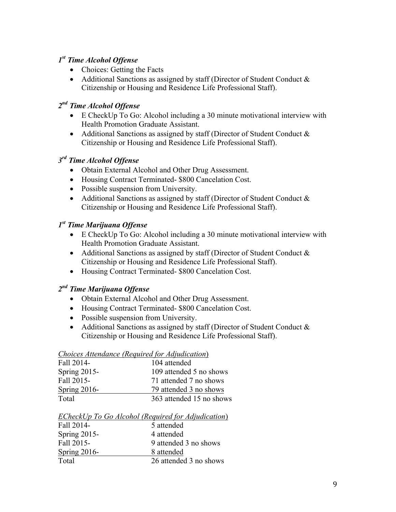## *1st Time Alcohol Offense*

- Choices: Getting the Facts
- Additional Sanctions as assigned by staff (Director of Student Conduct & Citizenship or Housing and Residence Life Professional Staff).

# *2nd Time Alcohol Offense*

- E CheckUp To Go: Alcohol including a 30 minute motivational interview with Health Promotion Graduate Assistant.
- Additional Sanctions as assigned by staff (Director of Student Conduct & Citizenship or Housing and Residence Life Professional Staff).

## *3rd Time Alcohol Offense*

- Obtain External Alcohol and Other Drug Assessment.
- Housing Contract Terminated- \$800 Cancelation Cost.
- Possible suspension from University.
- Additional Sanctions as assigned by staff (Director of Student Conduct & Citizenship or Housing and Residence Life Professional Staff).

## *1st Time Marijuana Offense*

- E CheckUp To Go: Alcohol including a 30 minute motivational interview with Health Promotion Graduate Assistant.
- Additional Sanctions as assigned by staff (Director of Student Conduct & Citizenship or Housing and Residence Life Professional Staff).
- Housing Contract Terminated- \$800 Cancelation Cost.

# *2nd Time Marijuana Offense*

- Obtain External Alcohol and Other Drug Assessment.
- Housing Contract Terminated- \$800 Cancelation Cost.
- Possible suspension from University.
- Additional Sanctions as assigned by staff (Director of Student Conduct & Citizenship or Housing and Residence Life Professional Staff).

## *Choices Attendance (Required for Adjudication*) Fall 2014- 104 attended Spring 2015- 109 attended 5 no shows Fall 2015- 71 attended 7 no shows Spring 2016- 79 attended 3 no shows Total 363 attended 15 no shows

|                     | ECheckUp To Go Alcohol (Required for Adjudication) |
|---------------------|----------------------------------------------------|
| Fall 2014-          | 5 attended                                         |
| <b>Spring 2015-</b> | 4 attended                                         |
| Fall 2015-          | 9 attended 3 no shows                              |
| Spring $2016$ -     | 8 attended                                         |
| Total               | 26 attended 3 no shows                             |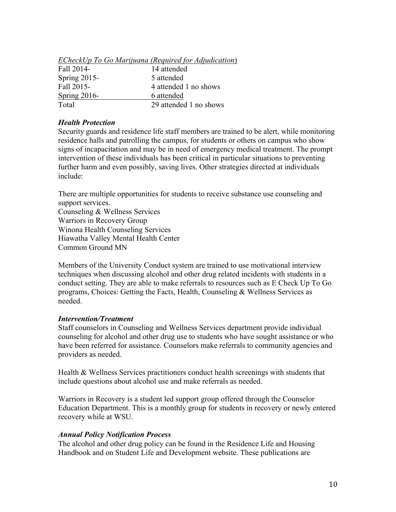|                 | ECheckUp To Go Marijuana (Required for Adjudication) |
|-----------------|------------------------------------------------------|
| Fall 2014-      | 14 attended                                          |
| Spring $2015$ - | 5 attended                                           |
| Fall 2015-      | 4 attended 1 no shows                                |
| Spring $2016$ - | 6 attended                                           |
| Total           | 29 attended 1 no shows                               |

#### *Health Protection*

Security guards and residence life staff members are trained to be alert, while monitoring residence halls and patrolling the campus, for students or others on campus who show signs of incapacitation and may be in need of emergency medical treatment. The prompt intervention of these individuals has been critical in particular situations to preventing further harm and even possibly, saving lives. Other strategies directed at individuals include:

There are multiple opportunities for students to receive substance use counseling and support services.

Counseling & Wellness Services Warriors in Recovery Group Winona Health Counseling Services Hiawatha Valley Mental Health Center Common Ground MN

Members of the University Conduct system are trained to use motivational interview techniques when discussing alcohol and other drug related incidents with students in a conduct setting. They are able to make referrals to resources such as E Check Up To Go programs, Choices: Getting the Facts, Health, Counseling & Wellness Services as needed.

#### *Intervention/Treatment*

Staff counselors in Counseling and Wellness Services department provide individual counseling for alcohol and other drug use to students who have sought assistance or who have been referred for assistance. Counselors make referrals to community agencies and providers as needed.

Health & Wellness Services practitioners conduct health screenings with students that include questions about alcohol use and make referrals as needed.

Warriors in Recovery is a student led support group offered through the Counselor Education Department. This is a monthly group for students in recovery or newly entered recovery while at WSU.

#### *Annual Policy Notification Process*

The alcohol and other drug policy can be found in the Residence Life and Housing Handbook and on Student Life and Development website. These publications are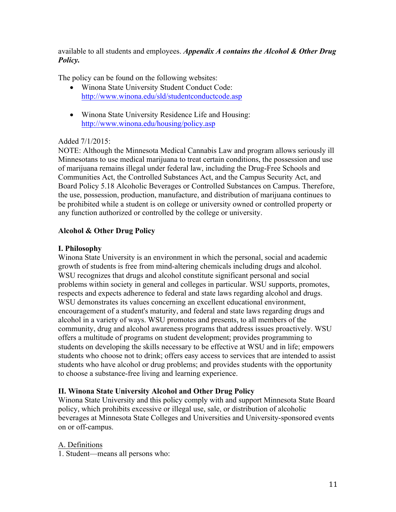available to all students and employees. *Appendix A contains the Alcohol & Other Drug Policy.* 

The policy can be found on the following websites:

- Winona State University Student Conduct Code: http://www.winona.edu/sld/studentconductcode.asp
- Winona State University Residence Life and Housing: http://www.winona.edu/housing/policy.asp

## Added 7/1/2015:

NOTE: Although the Minnesota Medical Cannabis Law and program allows seriously ill Minnesotans to use medical marijuana to treat certain conditions, the possession and use of marijuana remains illegal under federal law, including the Drug-Free Schools and Communities Act, the Controlled Substances Act, and the Campus Security Act, and Board Policy 5.18 Alcoholic Beverages or Controlled Substances on Campus. Therefore, the use, possession, production, manufacture, and distribution of marijuana continues to be prohibited while a student is on college or university owned or controlled property or any function authorized or controlled by the college or university.

## **Alcohol & Other Drug Policy**

## **I. Philosophy**

Winona State University is an environment in which the personal, social and academic growth of students is free from mind-altering chemicals including drugs and alcohol. WSU recognizes that drugs and alcohol constitute significant personal and social problems within society in general and colleges in particular. WSU supports, promotes, respects and expects adherence to federal and state laws regarding alcohol and drugs. WSU demonstrates its values concerning an excellent educational environment, encouragement of a student's maturity, and federal and state laws regarding drugs and alcohol in a variety of ways. WSU promotes and presents, to all members of the community, drug and alcohol awareness programs that address issues proactively. WSU offers a multitude of programs on student development; provides programming to students on developing the skills necessary to be effective at WSU and in life; empowers students who choose not to drink; offers easy access to services that are intended to assist students who have alcohol or drug problems; and provides students with the opportunity to choose a substance-free living and learning experience.

## **II. Winona State University Alcohol and Other Drug Policy**

Winona State University and this policy comply with and support Minnesota State Board policy, which prohibits excessive or illegal use, sale, or distribution of alcoholic beverages at Minnesota State Colleges and Universities and University-sponsored events on or off-campus.

## A. Definitions

1. Student—means all persons who: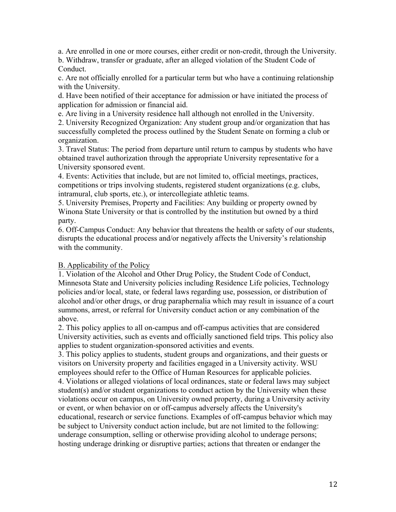a. Are enrolled in one or more courses, either credit or non-credit, through the University.

b. Withdraw, transfer or graduate, after an alleged violation of the Student Code of Conduct.

c. Are not officially enrolled for a particular term but who have a continuing relationship with the University.

d. Have been notified of their acceptance for admission or have initiated the process of application for admission or financial aid.

e. Are living in a University residence hall although not enrolled in the University.

2. University Recognized Organization: Any student group and/or organization that has successfully completed the process outlined by the Student Senate on forming a club or organization.

3. Travel Status: The period from departure until return to campus by students who have obtained travel authorization through the appropriate University representative for a University sponsored event.

4. Events: Activities that include, but are not limited to, official meetings, practices, competitions or trips involving students, registered student organizations (e.g. clubs, intramural, club sports, etc.), or intercollegiate athletic teams.

5. University Premises, Property and Facilities: Any building or property owned by Winona State University or that is controlled by the institution but owned by a third party.

6. Off-Campus Conduct: Any behavior that threatens the health or safety of our students, disrupts the educational process and/or negatively affects the University's relationship with the community.

## B. Applicability of the Policy

1. Violation of the Alcohol and Other Drug Policy, the Student Code of Conduct, Minnesota State and University policies including Residence Life policies, Technology policies and/or local, state, or federal laws regarding use, possession, or distribution of alcohol and/or other drugs, or drug paraphernalia which may result in issuance of a court summons, arrest, or referral for University conduct action or any combination of the above.

2. This policy applies to all on-campus and off-campus activities that are considered University activities, such as events and officially sanctioned field trips. This policy also applies to student organization-sponsored activities and events.

3. This policy applies to students, student groups and organizations, and their guests or visitors on University property and facilities engaged in a University activity. WSU employees should refer to the Office of Human Resources for applicable policies. 4. Violations or alleged violations of local ordinances, state or federal laws may subject student(s) and/or student organizations to conduct action by the University when these violations occur on campus, on University owned property, during a University activity or event, or when behavior on or off-campus adversely affects the University's educational, research or service functions. Examples of off-campus behavior which may be subject to University conduct action include, but are not limited to the following: underage consumption, selling or otherwise providing alcohol to underage persons; hosting underage drinking or disruptive parties; actions that threaten or endanger the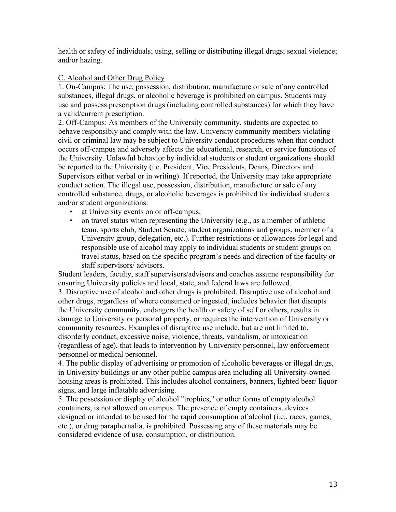health or safety of individuals; using, selling or distributing illegal drugs; sexual violence; and/or hazing.

## C. Alcohol and Other Drug Policy

1. On-Campus: The use, possession, distribution, manufacture or sale of any controlled substances, illegal drugs, or alcoholic beverage is prohibited on campus. Students may use and possess prescription drugs (including controlled substances) for which they have a valid/current prescription.

2. Off-Campus: As members of the University community, students are expected to behave responsibly and comply with the law. University community members violating civil or criminal law may be subject to University conduct procedures when that conduct occurs off-campus and adversely affects the educational, research, or service functions of the University. Unlawful behavior by individual students or student organizations should be reported to the University (i.e. President, Vice Presidents, Deans, Directors and Supervisors either verbal or in writing). If reported, the University may take appropriate conduct action. The illegal use, possession, distribution, manufacture or sale of any controlled substance, drugs, or alcoholic beverages is prohibited for individual students and/or student organizations:

- at University events on or off-campus;
- on travel status when representing the University (e.g., as a member of athletic team, sports club, Student Senate, student organizations and groups, member of a University group, delegation, etc.). Further restrictions or allowances for legal and responsible use of alcohol may apply to individual students or student groups on travel status, based on the specific program's needs and direction of the faculty or staff supervisors/ advisors.

Student leaders, faculty, staff supervisors/advisors and coaches assume responsibility for ensuring University policies and local, state, and federal laws are followed.

3. Disruptive use of alcohol and other drugs is prohibited. Disruptive use of alcohol and other drugs, regardless of where consumed or ingested, includes behavior that disrupts the University community, endangers the health or safety of self or others, results in damage to University or personal property, or requires the intervention of University or community resources. Examples of disruptive use include, but are not limited to, disorderly conduct, excessive noise, violence, threats, vandalism, or intoxication (regardless of age), that leads to intervention by University personnel, law enforcement personnel or medical personnel.

4. The public display of advertising or promotion of alcoholic beverages or illegal drugs, in University buildings or any other public campus area including all University-owned housing areas is prohibited. This includes alcohol containers, banners, lighted beer/ liquor signs, and large inflatable advertising.

5. The possession or display of alcohol "trophies," or other forms of empty alcohol containers, is not allowed on campus. The presence of empty containers, devices designed or intended to be used for the rapid consumption of alcohol (i.e., races, games, etc.), or drug paraphernalia, is prohibited. Possessing any of these materials may be considered evidence of use, consumption, or distribution.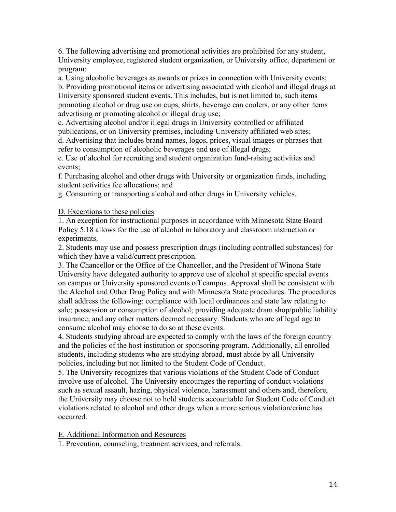6. The following advertising and promotional activities are prohibited for any student, University employee, registered student organization, or University office, department or program:

a. Using alcoholic beverages as awards or prizes in connection with University events; b. Providing promotional items or advertising associated with alcohol and illegal drugs at University sponsored student events. This includes, but is not limited to, such items promoting alcohol or drug use on cups, shirts, beverage can coolers, or any other items advertising or promoting alcohol or illegal drug use;

c. Advertising alcohol and/or illegal drugs in University controlled or affiliated publications, or on University premises, including University affiliated web sites;

d. Advertising that includes brand names, logos, prices, visual images or phrases that refer to consumption of alcoholic beverages and use of illegal drugs;

e. Use of alcohol for recruiting and student organization fund-raising activities and events;

f. Purchasing alcohol and other drugs with University or organization funds, including student activities fee allocations; and

g. Consuming or transporting alcohol and other drugs in University vehicles.

D. Exceptions to these policies

1. An exception for instructional purposes in accordance with Minnesota State Board Policy 5.18 allows for the use of alcohol in laboratory and classroom instruction or experiments.

2. Students may use and possess prescription drugs (including controlled substances) for which they have a valid/current prescription.

3. The Chancellor or the Office of the Chancellor, and the President of Winona State University have delegated authority to approve use of alcohol at specific special events on campus or University sponsored events off campus. Approval shall be consistent with the Alcohol and Other Drug Policy and with Minnesota State procedures. The procedures shall address the following: compliance with local ordinances and state law relating to sale; possession or consumption of alcohol; providing adequate dram shop/public liability insurance; and any other matters deemed necessary. Students who are of legal age to consume alcohol may choose to do so at these events.

4. Students studying abroad are expected to comply with the laws of the foreign country and the policies of the host institution or sponsoring program. Additionally, all enrolled students, including students who are studying abroad, must abide by all University policies, including but not limited to the Student Code of Conduct.

5. The University recognizes that various violations of the Student Code of Conduct involve use of alcohol. The University encourages the reporting of conduct violations such as sexual assault, hazing, physical violence, harassment and others and, therefore, the University may choose not to hold students accountable for Student Code of Conduct violations related to alcohol and other drugs when a more serious violation/crime has occurred.

E. Additional Information and Resources

1. Prevention, counseling, treatment services, and referrals.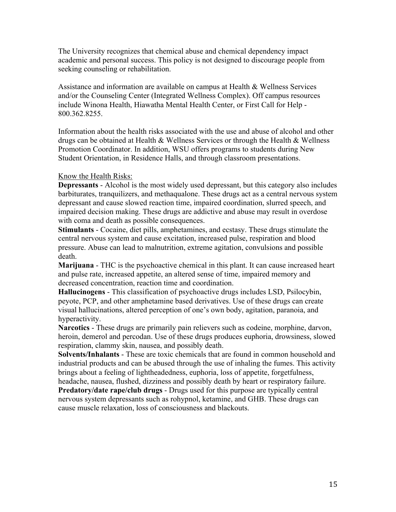The University recognizes that chemical abuse and chemical dependency impact academic and personal success. This policy is not designed to discourage people from seeking counseling or rehabilitation.

Assistance and information are available on campus at Health & Wellness Services and/or the Counseling Center (Integrated Wellness Complex). Off campus resources include Winona Health, Hiawatha Mental Health Center, or First Call for Help - 800.362.8255.

Information about the health risks associated with the use and abuse of alcohol and other drugs can be obtained at Health & Wellness Services or through the Health & Wellness Promotion Coordinator. In addition, WSU offers programs to students during New Student Orientation, in Residence Halls, and through classroom presentations.

## Know the Health Risks:

**Depressants** - Alcohol is the most widely used depressant, but this category also includes barbiturates, tranquilizers, and methaqualone. These drugs act as a central nervous system depressant and cause slowed reaction time, impaired coordination, slurred speech, and impaired decision making. These drugs are addictive and abuse may result in overdose with coma and death as possible consequences.

**Stimulants** - Cocaine, diet pills, amphetamines, and ecstasy. These drugs stimulate the central nervous system and cause excitation, increased pulse, respiration and blood pressure. Abuse can lead to malnutrition, extreme agitation, convulsions and possible death.

**Marijuana** - THC is the psychoactive chemical in this plant. It can cause increased heart and pulse rate, increased appetite, an altered sense of time, impaired memory and decreased concentration, reaction time and coordination.

**Hallucinogens** - This classification of psychoactive drugs includes LSD, Psilocybin, peyote, PCP, and other amphetamine based derivatives. Use of these drugs can create visual hallucinations, altered perception of one's own body, agitation, paranoia, and hyperactivity.

**Narcotics** - These drugs are primarily pain relievers such as codeine, morphine, darvon, heroin, demerol and percodan. Use of these drugs produces euphoria, drowsiness, slowed respiration, clammy skin, nausea, and possibly death.

**Solvents/Inhalants** - These are toxic chemicals that are found in common household and industrial products and can be abused through the use of inhaling the fumes. This activity brings about a feeling of lightheadedness, euphoria, loss of appetite, forgetfulness, headache, nausea, flushed, dizziness and possibly death by heart or respiratory failure.

**Predatory/date rape/club drugs** - Drugs used for this purpose are typically central nervous system depressants such as rohypnol, ketamine, and GHB. These drugs can cause muscle relaxation, loss of consciousness and blackouts.